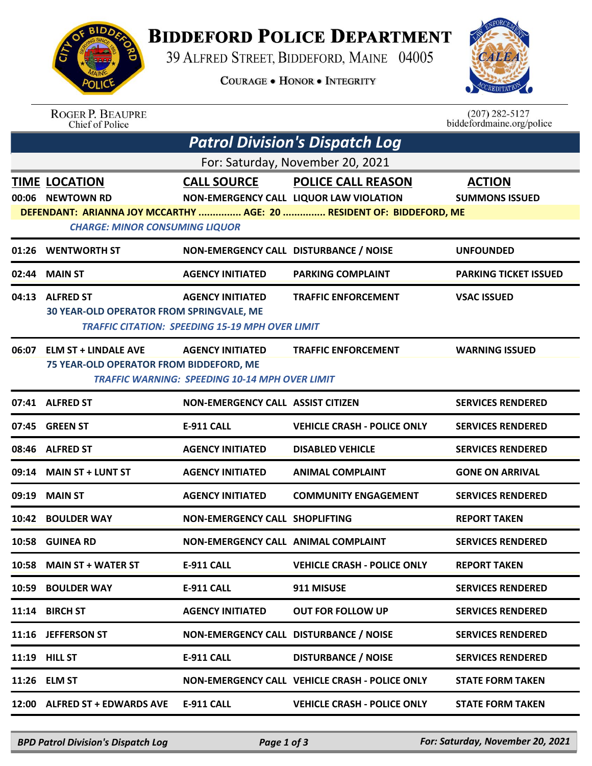

## **BIDDEFORD POLICE DEPARTMENT**

39 ALFRED STREET, BIDDEFORD, MAINE 04005

**COURAGE . HONOR . INTEGRITY** 



| <b>ROGER P. BEAUPRE</b> |
|-------------------------|
| Chief of Police         |

 $(207)$  282-5127 biddefordmaine.org/police

| <b>Patrol Division's Dispatch Log</b>                                                                         |                                                                        |                                                                                   |                                                               |                                        |  |  |  |  |
|---------------------------------------------------------------------------------------------------------------|------------------------------------------------------------------------|-----------------------------------------------------------------------------------|---------------------------------------------------------------|----------------------------------------|--|--|--|--|
| For: Saturday, November 20, 2021                                                                              |                                                                        |                                                                                   |                                                               |                                        |  |  |  |  |
|                                                                                                               | <b>TIME LOCATION</b><br>00:06 NEWTOWN RD                               | <b>CALL SOURCE</b>                                                                | POLICE CALL REASON<br>NON-EMERGENCY CALL LIQUOR LAW VIOLATION | <b>ACTION</b><br><b>SUMMONS ISSUED</b> |  |  |  |  |
| DEFENDANT: ARIANNA JOY MCCARTHY  AGE: 20  RESIDENT OF: BIDDEFORD, ME<br><b>CHARGE: MINOR CONSUMING LIQUOR</b> |                                                                        |                                                                                   |                                                               |                                        |  |  |  |  |
|                                                                                                               | 01:26 WENTWORTH ST                                                     | NON-EMERGENCY CALL DISTURBANCE / NOISE                                            |                                                               | <b>UNFOUNDED</b>                       |  |  |  |  |
|                                                                                                               | 02:44 MAIN ST                                                          | <b>AGENCY INITIATED</b>                                                           | <b>PARKING COMPLAINT</b>                                      | <b>PARKING TICKET ISSUED</b>           |  |  |  |  |
|                                                                                                               | 04:13 ALFRED ST<br>30 YEAR-OLD OPERATOR FROM SPRINGVALE, ME            | <b>AGENCY INITIATED</b><br><b>TRAFFIC CITATION: SPEEDING 15-19 MPH OVER LIMIT</b> | <b>TRAFFIC ENFORCEMENT</b>                                    | <b>VSAC ISSUED</b>                     |  |  |  |  |
| 06:07                                                                                                         | <b>ELM ST + LINDALE AVE</b><br>75 YEAR-OLD OPERATOR FROM BIDDEFORD, ME | <b>AGENCY INITIATED</b><br><b>TRAFFIC WARNING: SPEEDING 10-14 MPH OVER LIMIT</b>  | <b>TRAFFIC ENFORCEMENT</b>                                    | <b>WARNING ISSUED</b>                  |  |  |  |  |
|                                                                                                               | 07:41 ALFRED ST                                                        | <b>NON-EMERGENCY CALL ASSIST CITIZEN</b>                                          |                                                               | <b>SERVICES RENDERED</b>               |  |  |  |  |
|                                                                                                               | 07:45 GREEN ST                                                         | <b>E-911 CALL</b>                                                                 | <b>VEHICLE CRASH - POLICE ONLY</b>                            | <b>SERVICES RENDERED</b>               |  |  |  |  |
|                                                                                                               | 08:46 ALFRED ST                                                        | <b>AGENCY INITIATED</b>                                                           | <b>DISABLED VEHICLE</b>                                       | <b>SERVICES RENDERED</b>               |  |  |  |  |
|                                                                                                               | 09:14 MAIN ST + LUNT ST                                                | <b>AGENCY INITIATED</b>                                                           | <b>ANIMAL COMPLAINT</b>                                       | <b>GONE ON ARRIVAL</b>                 |  |  |  |  |
|                                                                                                               | 09:19 MAIN ST                                                          | <b>AGENCY INITIATED</b>                                                           | <b>COMMUNITY ENGAGEMENT</b>                                   | <b>SERVICES RENDERED</b>               |  |  |  |  |
|                                                                                                               | 10:42 BOULDER WAY                                                      | <b>NON-EMERGENCY CALL SHOPLIFTING</b>                                             |                                                               | <b>REPORT TAKEN</b>                    |  |  |  |  |
|                                                                                                               | 10:58 GUINEA RD                                                        | NON-EMERGENCY CALL ANIMAL COMPLAINT                                               |                                                               | <b>SERVICES RENDERED</b>               |  |  |  |  |
|                                                                                                               | 10:58 MAIN ST + WATER ST                                               | <b>E-911 CALL</b>                                                                 | <b>VEHICLE CRASH - POLICE ONLY</b>                            | <b>REPORT TAKEN</b>                    |  |  |  |  |
|                                                                                                               | 10:59 BOULDER WAY                                                      | E-911 CALL                                                                        | 911 MISUSE                                                    | <b>SERVICES RENDERED</b>               |  |  |  |  |
|                                                                                                               | 11:14 BIRCH ST                                                         | <b>AGENCY INITIATED</b>                                                           | <b>OUT FOR FOLLOW UP</b>                                      | <b>SERVICES RENDERED</b>               |  |  |  |  |
|                                                                                                               | 11:16 JEFFERSON ST                                                     | NON-EMERGENCY CALL DISTURBANCE / NOISE                                            |                                                               | <b>SERVICES RENDERED</b>               |  |  |  |  |
|                                                                                                               | 11:19 HILL ST                                                          | E-911 CALL                                                                        | <b>DISTURBANCE / NOISE</b>                                    | <b>SERVICES RENDERED</b>               |  |  |  |  |
|                                                                                                               | 11:26 ELM ST                                                           |                                                                                   | NON-EMERGENCY CALL VEHICLE CRASH - POLICE ONLY                | <b>STATE FORM TAKEN</b>                |  |  |  |  |
|                                                                                                               | 12:00 ALFRED ST + EDWARDS AVE                                          | <b>E-911 CALL</b>                                                                 | <b>VEHICLE CRASH - POLICE ONLY</b>                            | <b>STATE FORM TAKEN</b>                |  |  |  |  |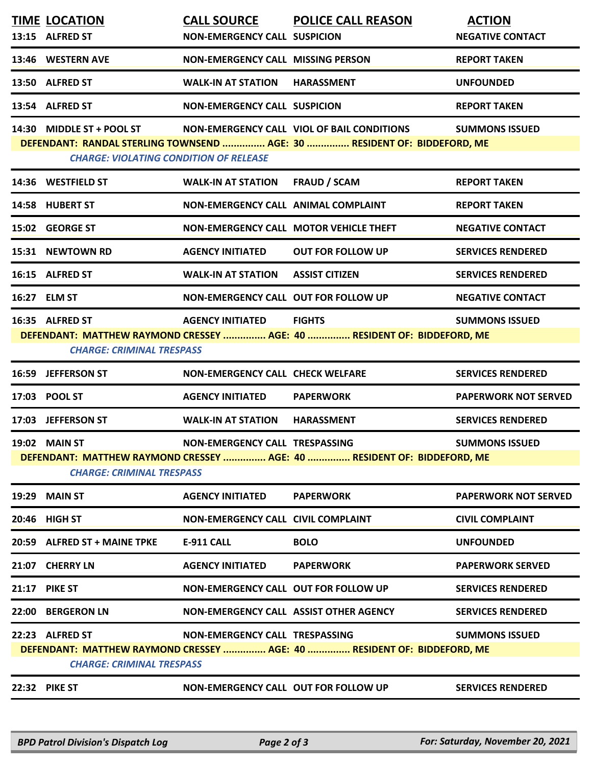|                                                                                                                                                                                                | <b>TIME LOCATION</b><br>13:15 ALFRED ST                                                                               | <b>NON-EMERGENCY CALL SUSPICION</b>         | CALL SOURCE POLICE CALL REASON                                                           | <b>ACTION</b><br><b>NEGATIVE CONTACT</b> |  |
|------------------------------------------------------------------------------------------------------------------------------------------------------------------------------------------------|-----------------------------------------------------------------------------------------------------------------------|---------------------------------------------|------------------------------------------------------------------------------------------|------------------------------------------|--|
|                                                                                                                                                                                                | 13:46 WESTERN AVE                                                                                                     | <b>NON-EMERGENCY CALL MISSING PERSON</b>    |                                                                                          | <b>REPORT TAKEN</b>                      |  |
|                                                                                                                                                                                                | 13:50 ALFRED ST                                                                                                       | <b>WALK-IN AT STATION</b>                   | HARASSMENT                                                                               | <b>UNFOUNDED</b>                         |  |
|                                                                                                                                                                                                | 13:54 ALFRED ST                                                                                                       | <b>NON-EMERGENCY CALL SUSPICION</b>         |                                                                                          | <b>REPORT TAKEN</b>                      |  |
|                                                                                                                                                                                                | 14:30 MIDDLE ST + POOL ST NON-EMERGENCY CALL VIOL OF BAIL CONDITIONS<br><b>CHARGE: VIOLATING CONDITION OF RELEASE</b> |                                             | DEFENDANT: RANDAL STERLING TOWNSEND  AGE: 30  RESIDENT OF: BIDDEFORD, ME                 | <b>SUMMONS ISSUED</b>                    |  |
|                                                                                                                                                                                                | 14:36 WESTFIELD ST                                                                                                    | <b>WALK-IN AT STATION</b>                   | <b>FRAUD / SCAM</b>                                                                      | <b>REPORT TAKEN</b>                      |  |
|                                                                                                                                                                                                | 14:58 HUBERT ST                                                                                                       | NON-EMERGENCY CALL ANIMAL COMPLAINT         |                                                                                          | <b>REPORT TAKEN</b>                      |  |
|                                                                                                                                                                                                | 15:02 GEORGE ST                                                                                                       |                                             | NON-EMERGENCY CALL MOTOR VEHICLE THEFT                                                   | <b>NEGATIVE CONTACT</b>                  |  |
|                                                                                                                                                                                                | 15:31 NEWTOWN RD                                                                                                      | <b>AGENCY INITIATED</b>                     | <b>OUT FOR FOLLOW UP</b>                                                                 | <b>SERVICES RENDERED</b>                 |  |
|                                                                                                                                                                                                | 16:15 ALFRED ST                                                                                                       | <b>WALK-IN AT STATION</b>                   | <b>ASSIST CITIZEN</b>                                                                    | <b>SERVICES RENDERED</b>                 |  |
|                                                                                                                                                                                                | 16:27 ELM ST                                                                                                          | <b>NON-EMERGENCY CALL OUT FOR FOLLOW UP</b> |                                                                                          | <b>NEGATIVE CONTACT</b>                  |  |
|                                                                                                                                                                                                | 16:35 ALFRED ST<br><b>CHARGE: CRIMINAL TRESPASS</b>                                                                   | <b>AGENCY INITIATED</b>                     | <b>FIGHTS</b><br>DEFENDANT: MATTHEW RAYMOND CRESSEY  AGE: 40  RESIDENT OF: BIDDEFORD, ME | <b>SUMMONS ISSUED</b>                    |  |
|                                                                                                                                                                                                | 16:59 JEFFERSON ST                                                                                                    | <b>NON-EMERGENCY CALL CHECK WELFARE</b>     |                                                                                          | <b>SERVICES RENDERED</b>                 |  |
|                                                                                                                                                                                                | 17:03 POOL ST                                                                                                         | <b>AGENCY INITIATED</b>                     | <b>PAPERWORK</b>                                                                         | <b>PAPERWORK NOT SERVED</b>              |  |
|                                                                                                                                                                                                | 17:03 JEFFERSON ST                                                                                                    | <b>WALK-IN AT STATION</b>                   | <b>HARASSMENT</b>                                                                        | <b>SERVICES RENDERED</b>                 |  |
| <b>19:02 MAIN ST</b><br>NON-EMERGENCY CALL TRESPASSING<br><b>SUMMONS ISSUED</b><br>DEFENDANT: MATTHEW RAYMOND CRESSEY  AGE: 40  RESIDENT OF: BIDDEFORD, ME<br><b>CHARGE: CRIMINAL TRESPASS</b> |                                                                                                                       |                                             |                                                                                          |                                          |  |
|                                                                                                                                                                                                | <b>19:29 MAIN ST</b>                                                                                                  | <b>AGENCY INITIATED</b>                     | <b>PAPERWORK</b>                                                                         | <b>PAPERWORK NOT SERVED</b>              |  |
|                                                                                                                                                                                                | 20:46 HIGH ST                                                                                                         | <b>NON-EMERGENCY CALL CIVIL COMPLAINT</b>   |                                                                                          | <b>CIVIL COMPLAINT</b>                   |  |
|                                                                                                                                                                                                | 20:59 ALFRED ST + MAINE TPKE                                                                                          | <b>E-911 CALL</b>                           | <b>BOLO</b>                                                                              | <b>UNFOUNDED</b>                         |  |
|                                                                                                                                                                                                | 21:07 CHERRY LN                                                                                                       | <b>AGENCY INITIATED</b>                     | <b>PAPERWORK</b>                                                                         | <b>PAPERWORK SERVED</b>                  |  |
|                                                                                                                                                                                                | <b>21:17 PIKE ST</b>                                                                                                  | <b>NON-EMERGENCY CALL OUT FOR FOLLOW UP</b> |                                                                                          | <b>SERVICES RENDERED</b>                 |  |
|                                                                                                                                                                                                | 22:00 BERGERON LN                                                                                                     | NON-EMERGENCY CALL ASSIST OTHER AGENCY      |                                                                                          | <b>SERVICES RENDERED</b>                 |  |
|                                                                                                                                                                                                | 22:23 ALFRED ST<br><b>CHARGE: CRIMINAL TRESPASS</b>                                                                   | NON-EMERGENCY CALL TRESPASSING              | DEFENDANT: MATTHEW RAYMOND CRESSEY  AGE: 40  RESIDENT OF: BIDDEFORD, ME                  | <b>SUMMONS ISSUED</b>                    |  |
|                                                                                                                                                                                                | <b>22:32 PIKE ST</b>                                                                                                  | NON-EMERGENCY CALL OUT FOR FOLLOW UP        |                                                                                          | <b>SERVICES RENDERED</b>                 |  |